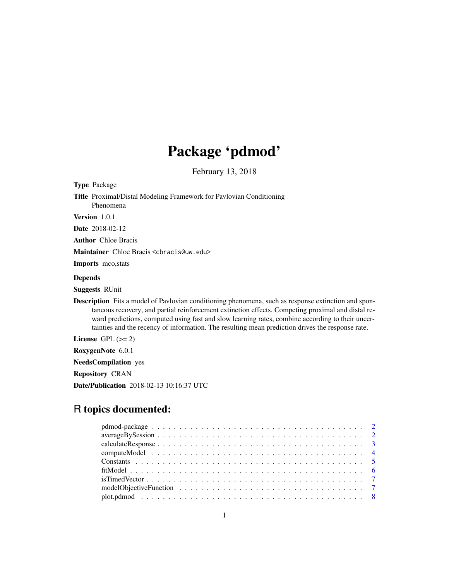# Package 'pdmod'

February 13, 2018

<span id="page-0-0"></span>Type Package

Title Proximal/Distal Modeling Framework for Pavlovian Conditioning Phenomena

Version 1.0.1

Date 2018-02-12

Author Chloe Bracis

Maintainer Chloe Bracis <cbracis@uw.edu>

Imports mco,stats

#### Depends

Suggests RUnit

Description Fits a model of Pavlovian conditioning phenomena, such as response extinction and spontaneous recovery, and partial reinforcement extinction effects. Competing proximal and distal reward predictions, computed using fast and slow learning rates, combine according to their uncertainties and the recency of information. The resulting mean prediction drives the response rate.

License GPL  $(>= 2)$ 

RoxygenNote 6.0.1

NeedsCompilation yes

Repository CRAN

Date/Publication 2018-02-13 10:16:37 UTC

# R topics documented: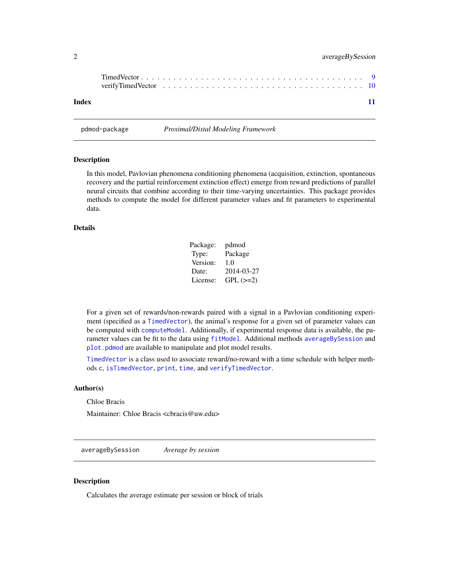<span id="page-1-0"></span>

| Index |  |  |  |  |  |  |  |  |  |  |  |  |  |  |  |  | -11 |
|-------|--|--|--|--|--|--|--|--|--|--|--|--|--|--|--|--|-----|

pdmod-package *Proximal/Distal Modeling Framework*

#### Description

In this model, Pavlovian phenomena conditioning phenomena (acquisition, extinction, spontaneous recovery and the partial reinforcement extinction effect) emerge from reward predictions of parallel neural circuits that combine according to their time-varying uncertainties. This package provides methods to compute the model for different parameter values and fit parameters to experimental data.

#### Details

| Package: | pdmod      |
|----------|------------|
| Type:    | Package    |
| Version: | 1.0        |
| Date:    | 2014-03-27 |
| License: | $GPL (=2)$ |

For a given set of rewards/non-rewards paired with a signal in a Pavlovian conditioning experiment (specified as a [TimedVector](#page-8-1)), the animal's response for a given set of parameter values can be computed with [computeModel](#page-3-1). Additionally, if experimental response data is available, the parameter values can be fit to the data using [fitModel](#page-5-1). Additional methods [averageBySession](#page-1-1) and [plot.pdmod](#page-7-1) are available to manipulate and plot model results.

[TimedVector](#page-8-1) is a class used to associate reward/no-reward with a time schedule with helper methods [c](#page-0-0), [isTimedVector](#page-6-1), [print](#page-0-0), [time](#page-0-0), and [verifyTimedVector](#page-9-1).

#### Author(s)

Chloe Bracis

Maintainer: Chloe Bracis <cbracis@uw.edu>

<span id="page-1-1"></span>averageBySession *Average by session*

#### **Description**

Calculates the average estimate per session or block of trials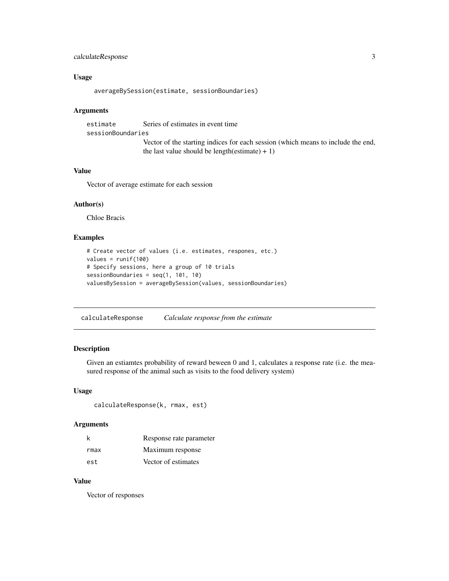# <span id="page-2-0"></span>calculateResponse 3

#### Usage

```
averageBySession(estimate, sessionBoundaries)
```
#### Arguments

estimate Series of estimates in event time sessionBoundaries Vector of the starting indices for each session (which means to include the end, the last value should be length(estimate)  $+ 1$ )

#### Value

Vector of average estimate for each session

#### Author(s)

Chloe Bracis

# Examples

```
# Create vector of values (i.e. estimates, respones, etc.)
values = runif(100)# Specify sessions, here a group of 10 trials
sessionBoundaries = seq(1, 101, 10)
valuesBySession = averageBySession(values, sessionBoundaries)
```
<span id="page-2-1"></span>calculateResponse *Calculate response from the estimate*

# Description

Given an estiamtes probability of reward beween 0 and 1, calculates a response rate (i.e. the measured response of the animal such as visits to the food delivery system)

#### Usage

```
calculateResponse(k, rmax, est)
```
#### Arguments

| k    | Response rate parameter |
|------|-------------------------|
| rmax | Maximum response        |
| est  | Vector of estimates     |

#### Value

Vector of responses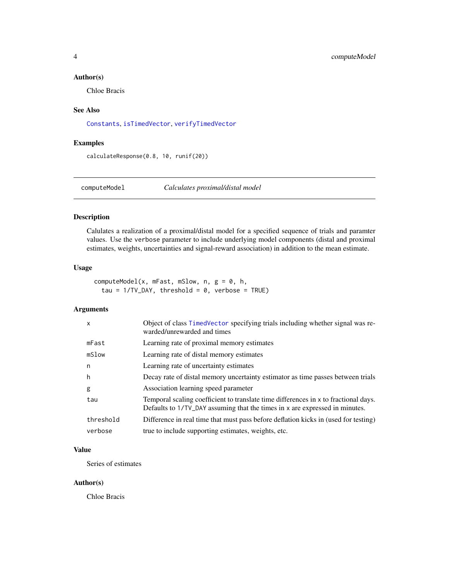#### <span id="page-3-0"></span>Author(s)

Chloe Bracis

#### See Also

[Constants](#page-4-1), [isTimedVector](#page-6-1), [verifyTimedVector](#page-9-1)

#### Examples

calculateResponse(0.8, 10, runif(20))

<span id="page-3-1"></span>computeModel *Calculates proximal/distal model*

# Description

Calulates a realization of a proximal/distal model for a specified sequence of trials and paramter values. Use the verbose parameter to include underlying model components (distal and proximal estimates, weights, uncertainties and signal-reward association) in addition to the mean estimate.

# Usage

computeModel(x, mFast, mSlow, n,  $g = 0$ , h, tau =  $1/TV_DAY$ , threshold = 0, verbose = TRUE)

#### Arguments

| $\mathsf{x}$ | Object of class TimedVector specifying trials including whether signal was re-<br>warded/unrewarded and times                                                      |
|--------------|--------------------------------------------------------------------------------------------------------------------------------------------------------------------|
| mFast        | Learning rate of proximal memory estimates                                                                                                                         |
| mSlow        | Learning rate of distal memory estimates                                                                                                                           |
| n            | Learning rate of uncertainty estimates                                                                                                                             |
| h            | Decay rate of distal memory uncertainty estimator as time passes between trials                                                                                    |
| g            | Association learning speed parameter                                                                                                                               |
| tau          | Temporal scaling coefficient to translate time differences in x to fractional days.<br>Defaults to 1/TV_DAY assuming that the times in x are expressed in minutes. |
| threshold    | Difference in real time that must pass before deflation kicks in (used for testing)                                                                                |
| verbose      | true to include supporting estimates, weights, etc.                                                                                                                |

# Value

Series of estimates

#### Author(s)

Chloe Bracis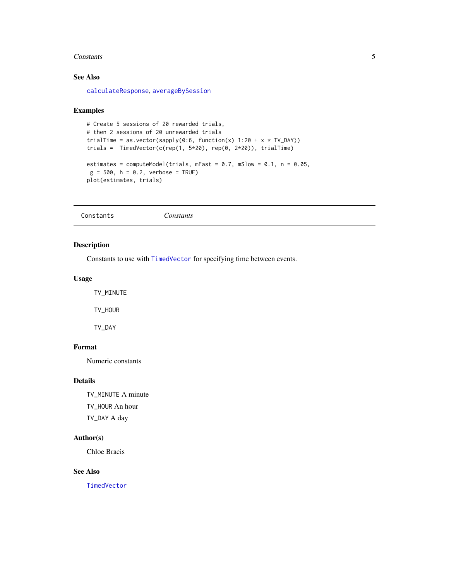#### <span id="page-4-0"></span>Constants 5

# See Also

[calculateResponse](#page-2-1), [averageBySession](#page-1-1)

#### Examples

```
# Create 5 sessions of 20 rewarded trials,
# then 2 sessions of 20 unrewarded trials
trialTime = as.vector(sapply(0:6, function(x) 1:20 + x * TV_DAY))
trials = TimedVector(c(rep(1, 5*20), rep(0, 2*20)), trialTime)
estimates = computeModel(trials, mFast = 0.7, mSlow = 0.1, n = 0.05,
g = 500, h = 0.2, verbose = TRUE)
plot(estimates, trials)
```
<span id="page-4-1"></span>Constants *Constants*

#### Description

Constants to use with [TimedVector](#page-8-1) for specifying time between events.

# Usage

TV\_MINUTE

TV\_HOUR

TV\_DAY

#### Format

Numeric constants

# Details

TV\_MINUTE A minute TV\_HOUR An hour TV\_DAY A day

#### Author(s)

Chloe Bracis

#### See Also

[TimedVector](#page-8-1)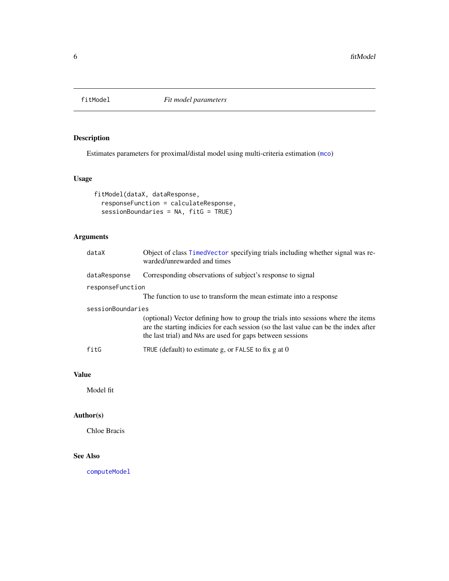<span id="page-5-1"></span><span id="page-5-0"></span>

# Description

Estimates parameters for proximal/distal model using multi-criteria estimation ([mco](#page-0-0))

# Usage

```
fitModel(dataX, dataResponse,
 responseFunction = calculateResponse,
 sessionBoundaries = NA, fitG = TRUE)
```
# Arguments

| dataX             | Object of class TimedVector specifying trials including whether signal was re-<br>warded/unrewarded and times                                                                                                                          |
|-------------------|----------------------------------------------------------------------------------------------------------------------------------------------------------------------------------------------------------------------------------------|
| dataResponse      | Corresponding observations of subject's response to signal                                                                                                                                                                             |
| responseFunction  |                                                                                                                                                                                                                                        |
|                   | The function to use to transform the mean estimate into a response                                                                                                                                                                     |
| sessionBoundaries |                                                                                                                                                                                                                                        |
|                   | (optional) Vector defining how to group the trials into sessions where the items<br>are the starting indicies for each session (so the last value can be the index after<br>the last trial) and NAs are used for gaps between sessions |
| fitG              | TRUE (default) to estimate $g$ , or FALSE to fix $g$ at 0                                                                                                                                                                              |
|                   |                                                                                                                                                                                                                                        |

# Value

Model fit

# Author(s)

Chloe Bracis

# See Also

[computeModel](#page-3-1)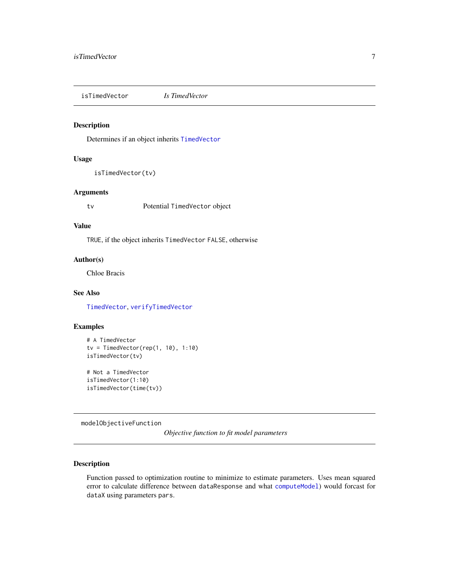<span id="page-6-1"></span><span id="page-6-0"></span>isTimedVector *Is TimedVector*

#### Description

Determines if an object inherits [TimedVector](#page-8-1)

#### Usage

```
isTimedVector(tv)
```
#### Arguments

tv Potential TimedVector object

# Value

TRUE, if the object inherits TimedVector FALSE, otherwise

#### Author(s)

Chloe Bracis

#### See Also

[TimedVector](#page-8-1), [verifyTimedVector](#page-9-1)

# Examples

```
# A TimedVector
tv = TimedVector(rep(1, 10), 1:10)isTimedVector(tv)
# Not a TimedVector
isTimedVector(1:10)
isTimedVector(time(tv))
```
modelObjectiveFunction

*Objective function to fit model parameters*

# Description

Function passed to optimization routine to minimize to estimate parameters. Uses mean squared error to calculate difference between dataResponse and what [computeModel](#page-3-1)) would forcast for dataX using parameters pars.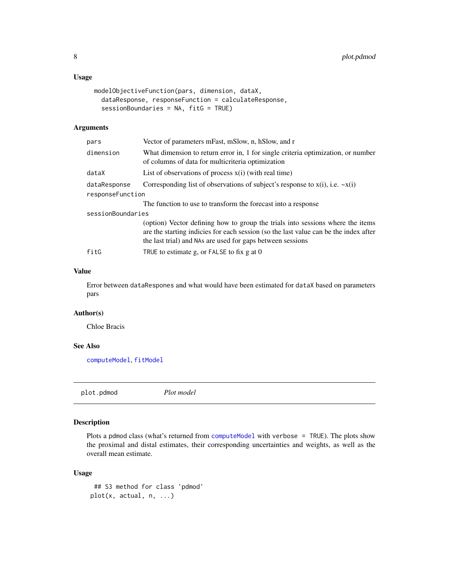# <span id="page-7-0"></span>Usage

```
modelObjectiveFunction(pars, dimension, dataX,
  dataResponse, responseFunction = calculateResponse,
  sessionBoundaries = NA, fitG = TRUE)
```
#### Arguments

| pars              | Vector of parameters mFast, mSlow, n, hSlow, and r                                                                                                                                                                                   |
|-------------------|--------------------------------------------------------------------------------------------------------------------------------------------------------------------------------------------------------------------------------------|
| dimension         | What dimension to return error in, 1 for single criteria optimization, or number<br>of columns of data for multicriteria optimization                                                                                                |
| dataX             | List of observations of process $x(i)$ (with real time)                                                                                                                                                                              |
| dataResponse      | Corresponding list of observations of subject's response to $x(i)$ , i.e. $-x(i)$                                                                                                                                                    |
| responseFunction  |                                                                                                                                                                                                                                      |
|                   | The function to use to transform the forecast into a response                                                                                                                                                                        |
| sessionBoundaries |                                                                                                                                                                                                                                      |
|                   | (option) Vector defining how to group the trials into sessions where the items<br>are the starting indicies for each session (so the last value can be the index after<br>the last trial) and NAs are used for gaps between sessions |
| fitG              | TRUE to estimate g, or FALSE to fix g at $\theta$                                                                                                                                                                                    |

#### Value

Error between dataRespones and what would have been estimated for dataX based on parameters pars

# Author(s)

Chloe Bracis

# See Also

[computeModel](#page-3-1), [fitModel](#page-5-1)

<span id="page-7-1"></span>plot.pdmod *Plot model*

# Description

Plots a pdmod class (what's returned from [computeModel](#page-3-1) with verbose = TRUE). The plots show the proximal and distal estimates, their corresponding uncertainties and weights, as well as the overall mean estimate.

#### Usage

```
## S3 method for class 'pdmod'
plot(x, actual, n, ...)
```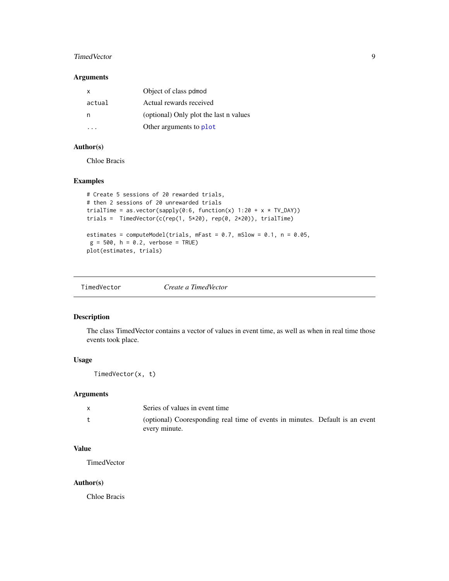#### <span id="page-8-0"></span>TimedVector 9

#### Arguments

| x      | Object of class pdmod                  |
|--------|----------------------------------------|
| actual | Actual rewards received                |
| n      | (optional) Only plot the last n values |
|        | Other arguments to plot                |

# Author(s)

Chloe Bracis

# Examples

```
# Create 5 sessions of 20 rewarded trials,
# then 2 sessions of 20 unrewarded trials
trialTime = as.vector(sapply(0:6, function(x) 1:20 + x * TV_DAY))
trials = TimeVector(c(rep(1, 5*20), rep(0, 2*20)), trialTime)estimates = computeModel(trials, mFast = 0.7, mSlow = 0.1, n = 0.05,
g = 500, h = 0.2, verbose = TRUE)
plot(estimates, trials)
```
<span id="page-8-1"></span>TimedVector *Create a TimedVector*

#### Description

The class TimedVector contains a vector of values in event time, as well as when in real time those events took place.

# Usage

TimedVector(x, t)

# Arguments

| Series of values in event time                                                                |  |
|-----------------------------------------------------------------------------------------------|--|
| (optional) Cooresponding real time of events in minutes. Default is an event<br>every minute. |  |

# Value

TimedVector

#### Author(s)

Chloe Bracis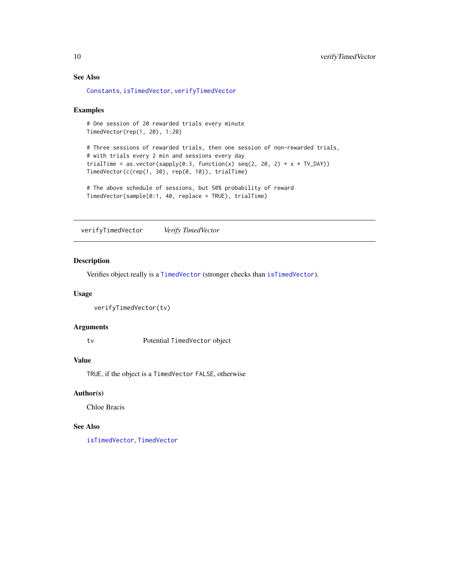# See Also

[Constants](#page-4-1), [isTimedVector](#page-6-1), [verifyTimedVector](#page-9-1)

#### Examples

```
# One session of 20 rewarded trials every minute
TimedVector(rep(1, 20), 1:20)
# Three sessions of rewarded trials, then one session of non-rewarded trials,
# with trials every 2 min and sessions every day
trialTime = as.vector(sapply(0:3, function(x) seq(2, 20, 2) + x * TV_DAY))
TimedVector(c(rep(1, 30), rep(0, 10)), trialTime)
```

```
# The above schedule of sessions, but 50% probability of reward
TimedVector(sample(0:1, 40, replace = TRUE), trialTime)
```
<span id="page-9-1"></span>verifyTimedVector *Verify TimedVector*

# Description

Verifies object really is a [TimedVector](#page-8-1) (stronger checks than [isTimedVector](#page-6-1)).

### Usage

```
verifyTimedVector(tv)
```
#### Arguments

tv Potential TimedVector object

#### Value

TRUE, if the object is a TimedVector FALSE, otherwise

#### Author(s)

Chloe Bracis

#### See Also

[isTimedVector](#page-6-1), [TimedVector](#page-8-1)

<span id="page-9-0"></span>